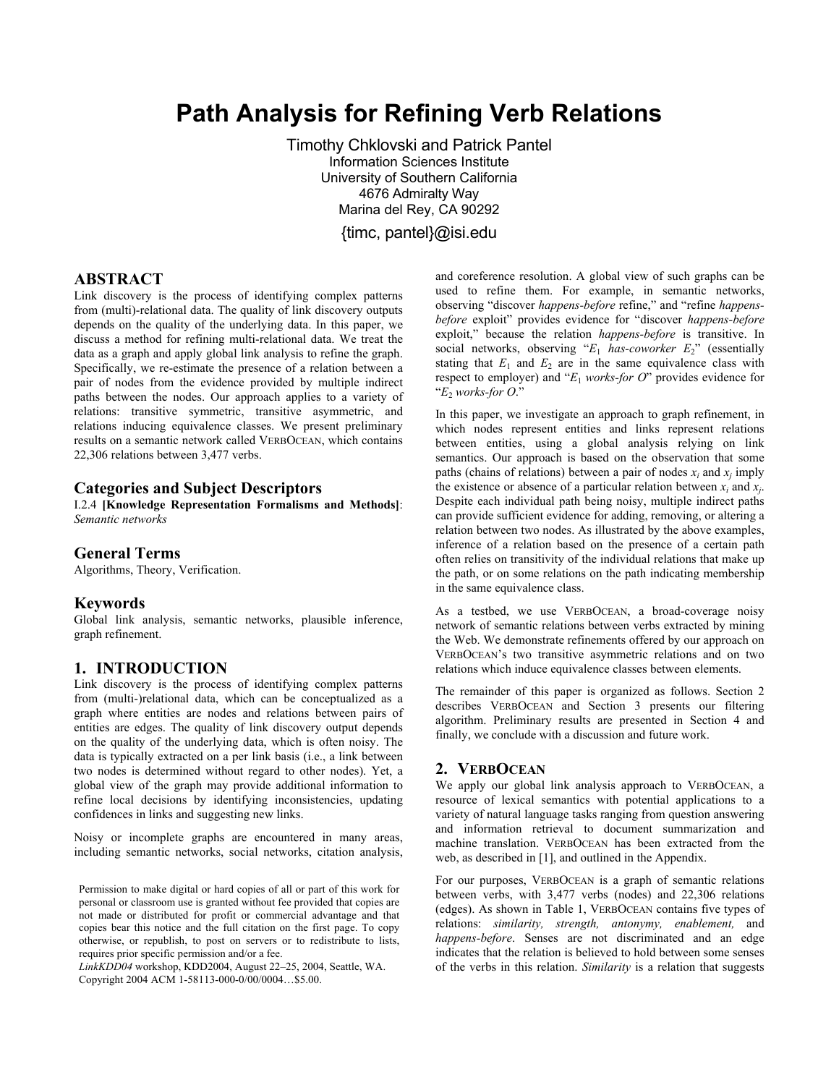# **Path Analysis for Refining Verb Relations**

Timothy Chklovski and Patrick Pantel Information Sciences Institute University of Southern California 4676 Admiralty Way Marina del Rey, CA 90292

{timc, pantel}@isi.edu

# **ABSTRACT**

Link discovery is the process of identifying complex patterns from (multi)-relational data. The quality of link discovery outputs depends on the quality of the underlying data. In this paper, we discuss a method for refining multi-relational data. We treat the data as a graph and apply global link analysis to refine the graph. Specifically, we re-estimate the presence of a relation between a pair of nodes from the evidence provided by multiple indirect paths between the nodes. Our approach applies to a variety of relations: transitive symmetric, transitive asymmetric, and relations inducing equivalence classes. We present preliminary results on a semantic network called VERBOCEAN, which contains 22,306 relations between 3,477 verbs.

## **Categories and Subject Descriptors**

I.2.4 **[Knowledge Representation Formalisms and Methods]**: *Semantic networks*

#### **General Terms**

Algorithms, Theory, Verification.

#### **Keywords**

Global link analysis, semantic networks, plausible inference, graph refinement.

## **1. INTRODUCTION**

Link discovery is the process of identifying complex patterns from (multi-)relational data, which can be conceptualized as a graph where entities are nodes and relations between pairs of entities are edges. The quality of link discovery output depends on the quality of the underlying data, which is often noisy. The data is typically extracted on a per link basis (i.e., a link between two nodes is determined without regard to other nodes). Yet, a global view of the graph may provide additional information to refine local decisions by identifying inconsistencies, updating confidences in links and suggesting new links.

Noisy or incomplete graphs are encountered in many areas, including semantic networks, social networks, citation analysis,

Permission to make digital or hard copies of all or part of this work for personal or classroom use is granted without fee provided that copies are not made or distributed for profit or commercial advantage and that copies bear this notice and the full citation on the first page. To copy otherwise, or republish, to post on servers or to redistribute to lists, requires prior specific permission and/or a fee.

*LinkKDD04* workshop, KDD2004, August 22-25, 2004, Seattle, WA. Copyright 2004 ACM 1-58113-000-0/00/0004...\$5.00.

and coreference resolution. A global view of such graphs can be used to refine them. For example, in semantic networks, observing "discover *happens-before* refine," and "refine *happensbefore* exploit" provides evidence for "discover *happens-before* exploit," because the relation *happens-before* is transitive. In social networks, observing  $E_1$  *has-coworker*  $E_2$ <sup>"</sup> (essentially stating that  $E_1$  and  $E_2$  are in the same equivalence class with respect to employer) and  $E_1$  *works-for O*<sup>n</sup> provides evidence for  $E_2$  *works-for O.*"

In this paper, we investigate an approach to graph refinement, in which nodes represent entities and links represent relations between entities, using a global analysis relying on link semantics. Our approach is based on the observation that some paths (chains of relations) between a pair of nodes  $x_i$  and  $x_j$  imply the existence or absence of a particular relation between  $x_i$  and  $x_i$ . Despite each individual path being noisy, multiple indirect paths can provide sufficient evidence for adding, removing, or altering a relation between two nodes. As illustrated by the above examples, inference of a relation based on the presence of a certain path often relies on transitivity of the individual relations that make up the path, or on some relations on the path indicating membership in the same equivalence class.

As a testbed, we use VERBOCEAN, a broad-coverage noisy network of semantic relations between verbs extracted by mining the Web. We demonstrate refinements offered by our approach on VERBOCEAN's two transitive asymmetric relations and on two relations which induce equivalence classes between elements.

The remainder of this paper is organized as follows. Section 2 describes VERBOCEAN and Section 3 presents our filtering algorithm. Preliminary results are presented in Section 4 and finally, we conclude with a discussion and future work.

## **2. VERBOCEAN**

We apply our global link analysis approach to VERBOCEAN, a resource of lexical semantics with potential applications to a variety of natural language tasks ranging from question answering and information retrieval to document summarization and machine translation. VERBOCEAN has been extracted from the web, as described in [1], and outlined in the Appendix.

For our purposes, VERBOCEAN is a graph of semantic relations between verbs, with 3,477 verbs (nodes) and 22,306 relations (edges). As shown in Table 1, VERBOCEAN contains five types of relations: *similarity, strength, antonymy, enablement,* and *happens-before*. Senses are not discriminated and an edge indicates that the relation is believed to hold between some senses of the verbs in this relation. *Similarity* is a relation that suggests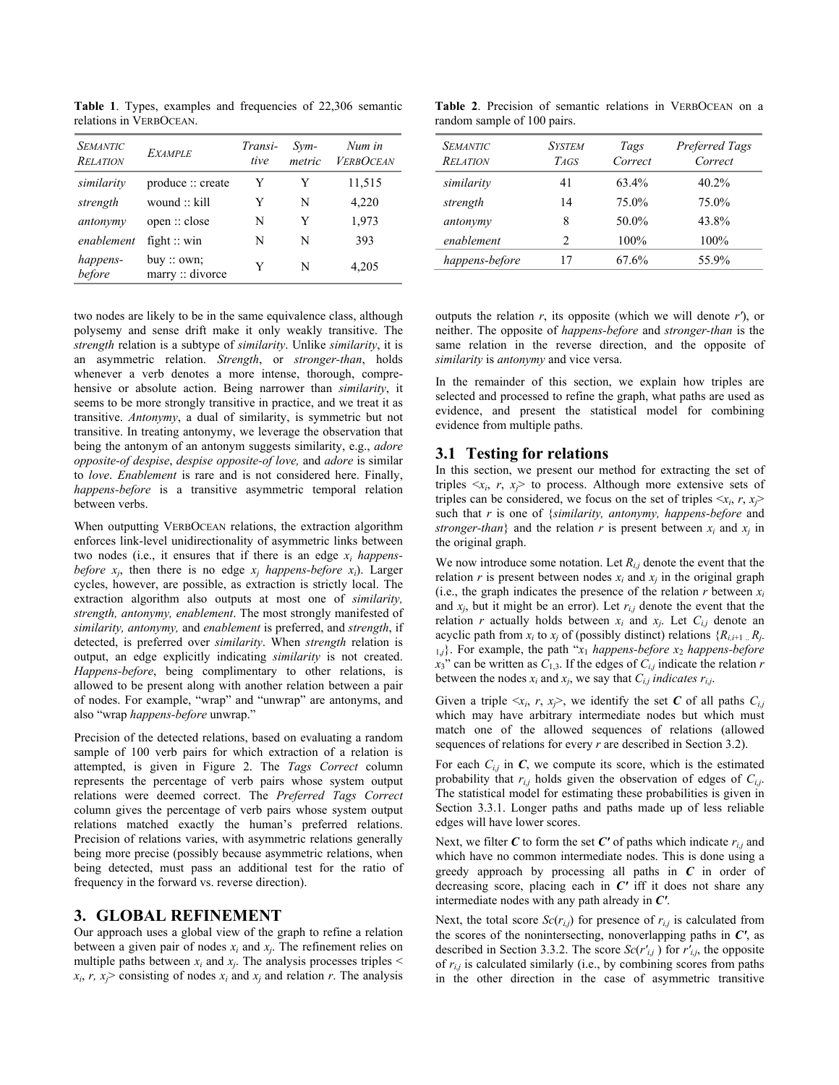Table 1. Types, examples and frequencies of 22,306 semantic relations in VERBOCEAN.

| <b>SEMANTIC</b><br>RELATION | <b>EXAMPLE</b>               | Transi-<br>tive | Svm-<br>metric | Num in<br><b>VERBOCEAN</b> |
|-----------------------------|------------------------------|-----------------|----------------|----------------------------|
| similarity                  | produce :: create            | Y               | Y              | 11,515                     |
| strength                    | wound :: kill                | Y               | N              | 4,220                      |
| antonymy                    | open :: close                | N               | Y              | 1,973                      |
| enablement                  | fight $::$ win               | N               | N              | 393                        |
| happens-<br>before          | buy::own;<br>marrow::divorce | Y               | N              | 4,205                      |

two nodes are likely to be in the same equivalence class, although polysemy and sense drift make it only weakly transitive. The *strength* relation is a subtype of *similarity*. Unlike *similarity*, it is an asymmetric relation. *Strength*, or *stronger-than*, holds whenever a verb denotes a more intense, thorough, comprehensive or absolute action. Being narrower than *similarity*, it seems to be more strongly transitive in practice, and we treat it as transitive. *Antonymy*, a dual of similarity, is symmetric but not transitive. In treating antonymy, we leverage the observation that being the antonym of an antonym suggests similarity, e.g., *adore opposite-of despise*, *despise opposite-of love,* and *adore* is similar to *love*. *Enablement* is rare and is not considered here. Finally, *happens-before* is a transitive asymmetric temporal relation between verbs.

When outputting VERBOCEAN relations, the extraction algorithm enforces link-level unidirectionality of asymmetric links between two nodes (i.e., it ensures that if there is an edge *xi happensbefore*  $x_i$ , then there is no edge  $x_i$  *happens-before*  $x_i$ ). Larger cycles, however, are possible, as extraction is strictly local. The extraction algorithm also outputs at most one of *similarity, strength, antonymy, enablement*. The most strongly manifested of *similarity, antonymy,* and *enablement* is preferred, and *strength*, if detected, is preferred over *similarity*. When *strength* relation is output, an edge explicitly indicating *similarity* is not created. *Happens-before*, being complimentary to other relations, is allowed to be present along with another relation between a pair of nodes. For example, "wrap" and "unwrap" are antonyms, and also "wrap happens-before unwrap."

Precision of the detected relations, based on evaluating a random sample of 100 verb pairs for which extraction of a relation is attempted, is given in Figure 2. The *Tags Correct* column represents the percentage of verb pairs whose system output relations were deemed correct. The *Preferred Tags Correct* column gives the percentage of verb pairs whose system output relations matched exactly the human's preferred relations. Precision of relations varies, with asymmetric relations generally being more precise (possibly because asymmetric relations, when being detected, must pass an additional test for the ratio of frequency in the forward vs. reverse direction).

# **3. GLOBAL REFINEMENT**

Our approach uses a global view of the graph to refine a relation between a given pair of nodes  $x_i$  and  $x_j$ . The refinement relies on multiple paths between  $x_i$  and  $x_j$ . The analysis processes triples  $\leq$  $x_i$ ,  $r$ ,  $x_j$  consisting of nodes  $x_i$  and  $x_j$  and relation *r*. The analysis

**Table 2**. Precision of semantic relations in VERBOCEAN on a random sample of 100 pairs.

| <b>SEMANTIC</b><br><b>RELATION</b> | <b>SYSTEM</b><br>TAGS | Tags<br>Correct | Preferred Tags<br>Correct |
|------------------------------------|-----------------------|-----------------|---------------------------|
| similarity                         | 41                    | 63.4%           | 40.2%                     |
| strength                           | 14                    | 75.0%           | 75.0%                     |
| antonymy                           | 8                     | 50.0%           | 43.8%                     |
| enablement                         | $\mathcal{D}$         | 100%            | 100%                      |
| happens-before                     | 17                    | 67.6%           | 55.9%                     |

outputs the relation *r*, its opposite (which we will denote *r'*), or neither. The opposite of *happens-before* and *stronger-than* is the same relation in the reverse direction, and the opposite of *similarity* is *antonymy* and vice versa.

In the remainder of this section, we explain how triples are selected and processed to refine the graph, what paths are used as evidence, and present the statistical model for combining evidence from multiple paths.

# **3.1 Testing for relations**

In this section, we present our method for extracting the set of triples  $\langle x_i, r, x_j \rangle$  to process. Although more extensive sets of triples can be considered, we focus on the set of triples  $\langle x_i, r, x_i \rangle$ such that *r* is one of {*similarity, antonymy, happens-before* and *stronger-than*} and the relation *r* is present between  $x_i$  and  $x_j$  in the original graph.

We now introduce some notation. Let  $R_{i,j}$  denote the event that the relation  $r$  is present between nodes  $x_i$  and  $x_j$  in the original graph (i.e., the graph indicates the presence of the relation  $r$  between  $x_i$ and  $x_i$ , but it might be an error). Let  $r_{i,j}$  denote the event that the relation *r* actually holds between  $x_i$  and  $x_j$ . Let  $C_{i,j}$  denote an acyclic path from  $x_i$  to  $x_j$  of (possibly distinct) relations  $\{R_{i,i+1}$   $R_j$ .  $\{1, j\}$ . For example, the path " $x_1$  *happens-before*  $x_2$  *happens-before*  $x_3$ <sup>n</sup> can be written as  $C_{1,3}$ . If the edges of  $C_{i,j}$  indicate the relation *r* between the nodes  $x_i$  and  $x_j$ , we say that  $C_{i,j}$  *indicates*  $r_{i,j}$ .

Given a triple  $\langle x_i, r, x_i \rangle$ , we identify the set C of all paths  $C_{i,j}$ which may have arbitrary intermediate nodes but which must match one of the allowed sequences of relations (allowed sequences of relations for every *r* are described in Section 3.2).

For each  $C_{i,j}$  in  $C$ , we compute its score, which is the estimated probability that  $r_{i,j}$  holds given the observation of edges of  $C_{i,j}$ . The statistical model for estimating these probabilities is given in Section 3.3.1. Longer paths and paths made up of less reliable edges will have lower scores.

Next, we filter  $C$  to form the set  $C'$  of paths which indicate  $r_{i,j}$  and which have no common intermediate nodes. This is done using a greedy approach by processing all paths in *C* in order of decreasing score, placing each in *C'* iff it does not share any intermediate nodes with any path already in *C'*.

Next, the total score  $Sc(r_{i,j})$  for presence of  $r_{i,j}$  is calculated from the scores of the nonintersecting, nonoverlapping paths in *C'*, as described in Section 3.3.2. The score  $Sc(r'_{i,j})$  for  $r'_{i,j}$ , the opposite of  $r_{i,j}$  is calculated similarly (i.e., by combining scores from paths in the other direction in the case of asymmetric transitive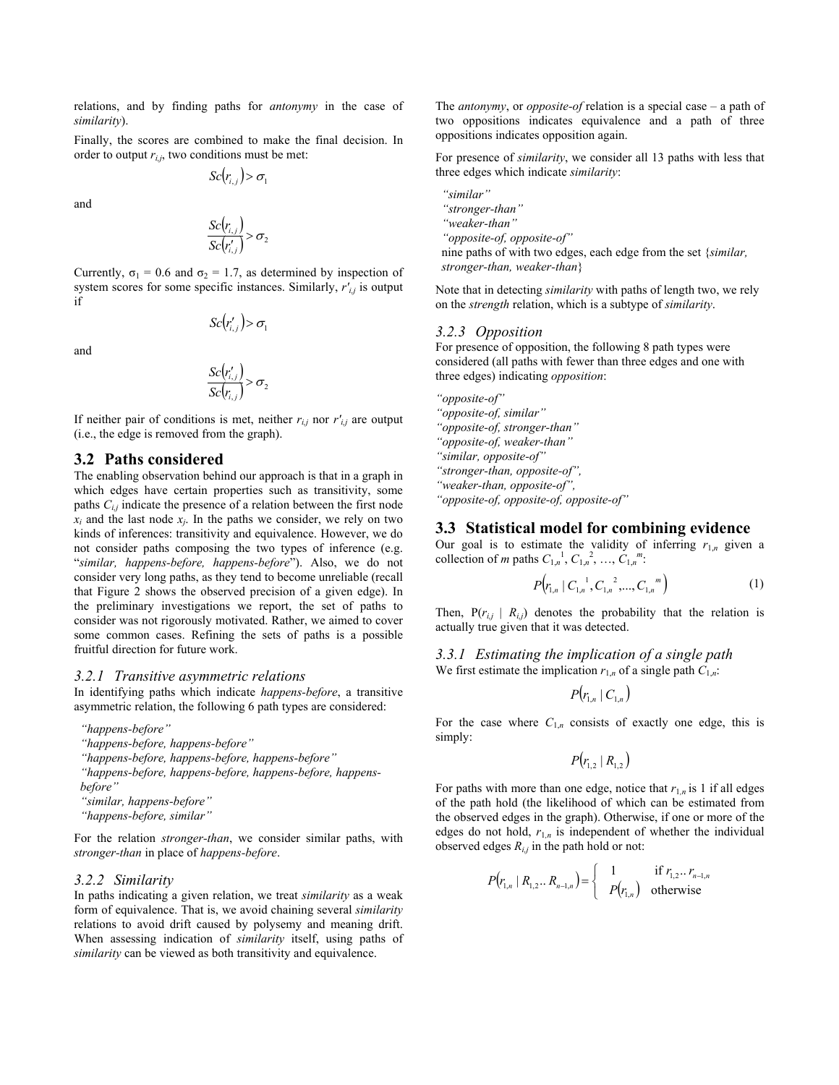relations, and by finding paths for *antonymy* in the case of *similarity*).

Finally, the scores are combined to make the final decision. In order to output  $r_{i,j}$ , two conditions must be met:

 $Sc(r_{i,j}) > \sigma_i$ 

and

$$
\frac{Sc(r_{i,j})}{Sc(r'_{i,j})} > \sigma_2
$$

Currently,  $\sigma_1 = 0.6$  and  $\sigma_2 = 1.7$ , as determined by inspection of system scores for some specific instances. Similarly, *r'i,j* is output if

$$
\mathit{Sc}(r'_{i,j}) > \sigma_i
$$

and

$$
\frac{Sc(r'_{i,j})}{Sc(r_{i,j})} > \sigma_2
$$

If neither pair of conditions is met, neither  $r_{i,j}$  nor  $r'_{i,j}$  are output (i.e., the edge is removed from the graph).

# **3.2 Paths considered**

The enabling observation behind our approach is that in a graph in which edges have certain properties such as transitivity, some paths *Ci,j* indicate the presence of a relation between the first node  $x_i$  and the last node  $x_j$ . In the paths we consider, we rely on two kinds of inferences: transitivity and equivalence. However, we do not consider paths composing the two types of inference (e.g. ì*similar, happens-before, happens-before*î). Also, we do not consider very long paths, as they tend to become unreliable (recall that Figure 2 shows the observed precision of a given edge). In the preliminary investigations we report, the set of paths to consider was not rigorously motivated. Rather, we aimed to cover some common cases. Refining the sets of paths is a possible fruitful direction for future work.

#### *3.2.1 Transitive asymmetric relations*

In identifying paths which indicate *happens-before*, a transitive asymmetric relation, the following 6 path types are considered:

*ìhappens-beforeî* 

 $\n "happens-before, happens-before"$ 

*ìhappens-before, happens-before, happens-beforeî* 

*ìhappens-before, happens-before, happens-before, happensbefore*"

<sup>"</sup>similar, happens-before"

*ìhappens-before, similarî* 

For the relation *stronger-than*, we consider similar paths, with *stronger-than* in place of *happens-before*.

## *3.2.2 Similarity*

In paths indicating a given relation, we treat *similarity* as a weak form of equivalence. That is, we avoid chaining several *similarity*  relations to avoid drift caused by polysemy and meaning drift. When assessing indication of *similarity* itself, using paths of *similarity* can be viewed as both transitivity and equivalence.

The *antonymy*, or *opposite-of* relation is a special case  $-$  a path of two oppositions indicates equivalence and a path of three oppositions indicates opposition again.

For presence of *similarity*, we consider all 13 paths with less that three edges which indicate *similarity*:

*ìsimilarî ìstronger-thanî ìweaker-thanî ìopposite-of, opposite-ofî*  nine paths of with two edges, each edge from the set {*similar, stronger-than, weaker-than*}

Note that in detecting *similarity* with paths of length two, we rely on the *strength* relation, which is a subtype of *similarity*.

#### *3.2.3 Opposition*

For presence of opposition, the following 8 path types were considered (all paths with fewer than three edges and one with three edges) indicating *opposition*:

*ìopposite-ofî* 

*ìopposite-of, similarî* 

*ìopposite-of, stronger-thanî* 

*ìopposite-of, weaker-thanî* 

*ìsimilar, opposite-ofî* 

*ìstronger-than, opposite-ofî,* 

*ìweaker-than, opposite-ofî,* 

*ìopposite-of, opposite-of, opposite-ofî*

## **3.3 Statistical model for combining evidence**

Our goal is to estimate the validity of inferring  $r_{1,n}$  given a collection of *m* paths  $C_{1,n}^{-1}$ ,  $C_{1,n}^{-2}$ , ...,  $C_{1,n}^{-m}$ .

$$
P(r_{1,n} | C_{1,n}^{-1}, C_{1,n}^{-2},..., C_{1,n}^{-m})
$$
\n(1)

Then,  $P(r_{i,j} | R_{i,j})$  denotes the probability that the relation is actually true given that it was detected.

*3.3.1 Estimating the implication of a single path*  We first estimate the implication  $r_{1,n}$  of a single path  $\overline{C}_{1,n}$ :

$$
\mathit{P}\big(r_{_{1,n}}\,|\,C_{_{1,n}}\big)
$$

For the case where  $C_{1,n}$  consists of exactly one edge, this is simply:

$$
P\big(r_{1,2} \,|\, R_{1,2} \,\big)
$$

For paths with more than one edge, notice that  $r_{1,n}$  is 1 if all edges of the path hold (the likelihood of which can be estimated from the observed edges in the graph). Otherwise, if one or more of the edges do not hold,  $r_{1,n}$  is independent of whether the individual observed edges  $R_{i,j}$  in the path hold or not:

$$
P(r_{1,n} | R_{1,2}... R_{n-1,n}) = \begin{cases} 1 & \text{if } r_{1,2}... r_{n-1,n} \\ P(r_{1,n}) & \text{otherwise} \end{cases}
$$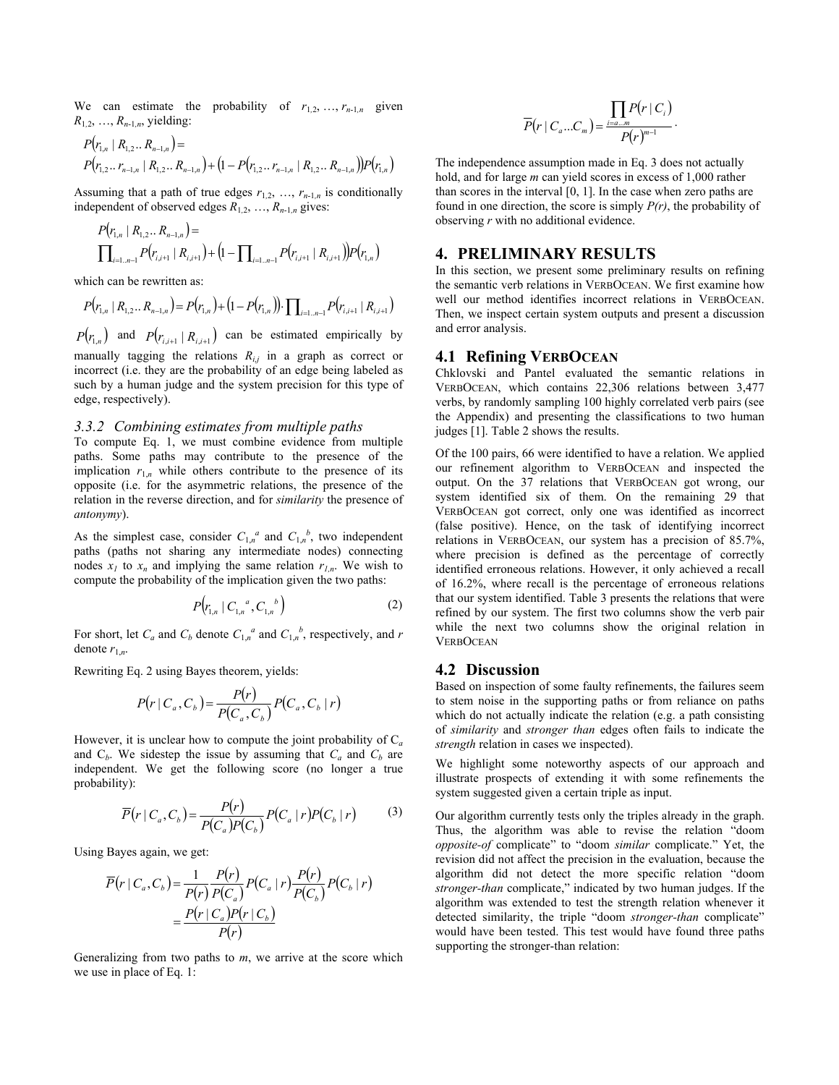We can estimate the probability of  $r_{1,2}, \ldots, r_{n-1,n}$  given  $R_{1,2}, \ldots, R_{n-1,n}$ , yielding:

$$
P(r_{1,n} | R_{1,2} ... R_{n-1,n}) =
$$
  
 
$$
P(r_{1,2} ... r_{n-1,n} | R_{1,2} ... R_{n-1,n}) + (1 - P(r_{1,2} ... r_{n-1,n} | R_{1,2} ... R_{n-1,n})) P(r_{1,n})
$$

Assuming that a path of true edges  $r_{1,2}, \ldots, r_{n-1,n}$  is conditionally independent of observed edges  $R_{1,2}, \ldots, R_{n-1,n}$  gives:

$$
P(r_{1,n} | R_{1,2} ... R_{n-1,n}) =
$$
  

$$
\prod_{i=1..n-1} P(r_{i,i+1} | R_{i,i+1}) + (1 - \prod_{i=1..n-1} P(r_{i,i+1} | R_{i,i+1})) P(r_{1,n})
$$

which can be rewritten as:

$$
P(r_{1,n} | R_{1,2}...R_{n-1,n}) = P(r_{1,n}) + (1 - P(r_{1,n})) \cdot \prod_{i=1...n-1} P(r_{i,i+1} | R_{i,i+1})
$$

 $P(r_{1,n})$  and  $P(r_{i,i+1} | R_{i,i+1})$  can be estimated empirically by manually tagging the relations  $R_{i,j}$  in a graph as correct or incorrect (i.e. they are the probability of an edge being labeled as such by a human judge and the system precision for this type of edge, respectively).

#### *3.3.2 Combining estimates from multiple paths*

To compute Eq. 1, we must combine evidence from multiple paths. Some paths may contribute to the presence of the implication  $r_{1,n}$  while others contribute to the presence of its opposite (i.e. for the asymmetric relations, the presence of the relation in the reverse direction, and for *similarity* the presence of *antonymy*).

As the simplest case, consider  $C_{1,n}^a$  and  $C_{1,n}^b$ , two independent paths (paths not sharing any intermediate nodes) connecting nodes  $x_l$  to  $x_n$  and implying the same relation  $r_{l,n}$ . We wish to compute the probability of the implication given the two paths:

$$
P(r_{1,n} | C_{1,n}^a, C_{1,n}^b)
$$
 (2)

For short, let  $C_a$  and  $C_b$  denote  $C_{1,n}^a$  and  $C_{1,n}^b$ , respectively, and *r* denote  $r_{1,n}$ .

Rewriting Eq. 2 using Bayes theorem, yields:

$$
P(r \mid C_a, C_b) = \frac{P(r)}{P(C_a, C_b)} P(C_a, C_b \mid r)
$$

However, it is unclear how to compute the joint probability of C*<sup>a</sup>* and  $C_b$ . We sidestep the issue by assuming that  $C_a$  and  $C_b$  are independent. We get the following score (no longer a true probability):

$$
\overline{P}(r \mid C_a, C_b) = \frac{P(r)}{P(C_a)P(C_b)} P(C_a \mid r) P(C_b \mid r) \tag{3}
$$

Using Bayes again, we get:

$$
\overline{P}(r \mid C_a, C_b) = \frac{1}{P(r)} \frac{P(r)}{P(C_a)} P(C_a \mid r) \frac{P(r)}{P(C_b)} P(C_b \mid r)
$$

$$
= \frac{P(r \mid C_a) P(r \mid C_b)}{P(r)}
$$

Generalizing from two paths to *m*, we arrive at the score which we use in place of Eq. 1:

$$
\overline{P}(r \mid C_a \dots C_m) = \frac{\prod_{i=a \dots m} P(r \mid C_i)}{P(r)^{m-1}}.
$$

The independence assumption made in Eq. 3 does not actually hold, and for large *m* can yield scores in excess of 1,000 rather than scores in the interval [0, 1]. In the case when zero paths are found in one direction, the score is simply *P(r)*, the probability of observing *r* with no additional evidence.

#### **4. PRELIMINARY RESULTS**

In this section, we present some preliminary results on refining the semantic verb relations in VERBOCEAN. We first examine how well our method identifies incorrect relations in VERBOCEAN. Then, we inspect certain system outputs and present a discussion and error analysis.

## **4.1 Refining VERBOCEAN**

Chklovski and Pantel evaluated the semantic relations in VERBOCEAN, which contains 22,306 relations between 3,477 verbs, by randomly sampling 100 highly correlated verb pairs (see the Appendix) and presenting the classifications to two human judges [1]. Table 2 shows the results.

Of the 100 pairs, 66 were identified to have a relation. We applied our refinement algorithm to VERBOCEAN and inspected the output. On the 37 relations that VERBOCEAN got wrong, our system identified six of them. On the remaining 29 that VERBOCEAN got correct, only one was identified as incorrect (false positive). Hence, on the task of identifying incorrect relations in VERBOCEAN, our system has a precision of 85.7%, where precision is defined as the percentage of correctly identified erroneous relations. However, it only achieved a recall of 16.2%, where recall is the percentage of erroneous relations that our system identified. Table 3 presents the relations that were refined by our system. The first two columns show the verb pair while the next two columns show the original relation in **VERBOCEAN** 

#### **4.2 Discussion**

Based on inspection of some faulty refinements, the failures seem to stem noise in the supporting paths or from reliance on paths which do not actually indicate the relation (e.g. a path consisting of *similarity* and *stronger than* edges often fails to indicate the *strength* relation in cases we inspected).

We highlight some noteworthy aspects of our approach and illustrate prospects of extending it with some refinements the system suggested given a certain triple as input.

Our algorithm currently tests only the triples already in the graph. Thus, the algorithm was able to revise the relation "doom *opposite-of* complicate" to "doom *similar* complicate." Yet, the revision did not affect the precision in the evaluation, because the algorithm did not detect the more specific relation "doom *stronger-than* complicate," indicated by two human judges. If the algorithm was extended to test the strength relation whenever it detected similarity, the triple "doom *stronger-than* complicate" would have been tested. This test would have found three paths supporting the stronger-than relation: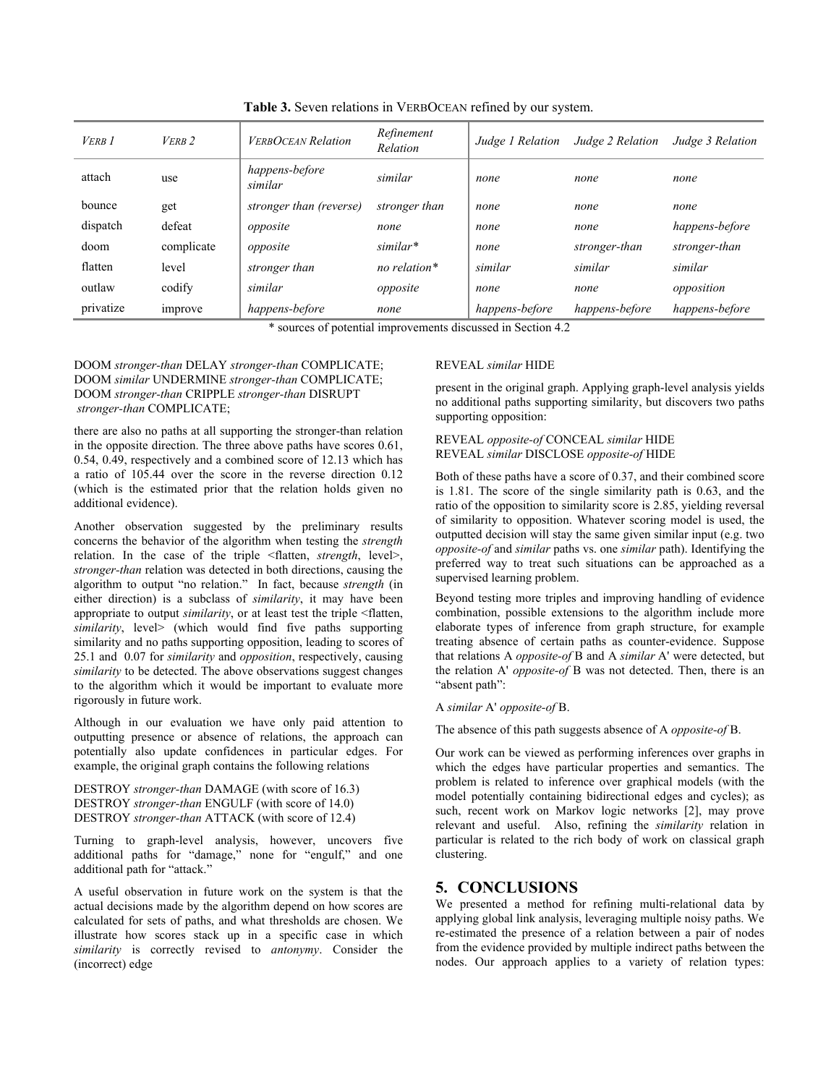| <b>VERB</b> 1 | $VERB$ 2   | <b>VERBOCEAN Relation</b> | Refinement<br>Relation | Judge 1 Relation | Judge 2 Relation | Judge 3 Relation |
|---------------|------------|---------------------------|------------------------|------------------|------------------|------------------|
| attach        | use        | happens-before<br>similar | similar                | none             | none             | none             |
| bounce        | get        | stronger than (reverse)   | stronger than          | none             | none             | none             |
| dispatch      | defeat     | opposite                  | none                   | none             | none             | happens-before   |
| doom          | complicate | opposite                  | similar*               | none             | stronger-than    | stronger-than    |
| flatten       | level      | stronger than             | no relation*           | similar          | similar          | similar          |
| outlaw        | codify     | similar                   | opposite               | none             | none             | opposition       |
| privatize     | improve    | happens-before            | none                   | happens-before   | happens-before   | happens-before   |

**Table 3.** Seven relations in VERBOCEAN refined by our system.

\* sources of potential improvements discussed in Section 4.2

#### DOOM *stronger-than* DELAY *stronger-than* COMPLICATE; DOOM *similar* UNDERMINE *stronger-than* COMPLICATE; DOOM *stronger-than* CRIPPLE *stronger-than* DISRUPT  *stronger-than* COMPLICATE;

there are also no paths at all supporting the stronger-than relation in the opposite direction. The three above paths have scores 0.61, 0.54, 0.49, respectively and a combined score of 12.13 which has a ratio of 105.44 over the score in the reverse direction 0.12 (which is the estimated prior that the relation holds given no additional evidence).

Another observation suggested by the preliminary results concerns the behavior of the algorithm when testing the *strength* relation. In the case of the triple <flatten, *strength*, level>, *stronger-than* relation was detected in both directions, causing the algorithm to output "no relation." In fact, because *strength* (in either direction) is a subclass of *similarity*, it may have been appropriate to output *similarity*, or at least test the triple <flatten, *similarity*, level> (which would find five paths supporting similarity and no paths supporting opposition, leading to scores of 25.1 and 0.07 for *similarity* and *opposition*, respectively, causing *similarity* to be detected. The above observations suggest changes to the algorithm which it would be important to evaluate more rigorously in future work.

Although in our evaluation we have only paid attention to outputting presence or absence of relations, the approach can potentially also update confidences in particular edges. For example, the original graph contains the following relations

DESTROY *stronger-than* DAMAGE (with score of 16.3) DESTROY *stronger-than* ENGULF (with score of 14.0) DESTROY *stronger-than* ATTACK (with score of 12.4)

Turning to graph-level analysis, however, uncovers five additional paths for "damage," none for "engulf," and one additional path for "attack."

A useful observation in future work on the system is that the actual decisions made by the algorithm depend on how scores are calculated for sets of paths, and what thresholds are chosen. We illustrate how scores stack up in a specific case in which *similarity* is correctly revised to *antonymy*. Consider the (incorrect) edge

#### REVEAL *similar* HIDE

present in the original graph. Applying graph-level analysis yields no additional paths supporting similarity, but discovers two paths supporting opposition:

#### REVEAL *opposite-of* CONCEAL *similar* HIDE REVEAL *similar* DISCLOSE *opposite-of* HIDE

Both of these paths have a score of 0.37, and their combined score is 1.81. The score of the single similarity path is 0.63, and the ratio of the opposition to similarity score is 2.85, yielding reversal of similarity to opposition. Whatever scoring model is used, the outputted decision will stay the same given similar input (e.g. two *opposite-of* and *similar* paths vs. one *similar* path). Identifying the preferred way to treat such situations can be approached as a supervised learning problem.

Beyond testing more triples and improving handling of evidence combination, possible extensions to the algorithm include more elaborate types of inference from graph structure, for example treating absence of certain paths as counter-evidence. Suppose that relations A *opposite-of* B and A *similar* A' were detected, but the relation A' *opposite-of* B was not detected. Then, there is an "absent path":

#### A *similar* A' *opposite-of* B.

The absence of this path suggests absence of A *opposite-of* B.

Our work can be viewed as performing inferences over graphs in which the edges have particular properties and semantics. The problem is related to inference over graphical models (with the model potentially containing bidirectional edges and cycles); as such, recent work on Markov logic networks [2], may prove relevant and useful. Also, refining the *similarity* relation in particular is related to the rich body of work on classical graph clustering.

# **5. CONCLUSIONS**

We presented a method for refining multi-relational data by applying global link analysis, leveraging multiple noisy paths. We re-estimated the presence of a relation between a pair of nodes from the evidence provided by multiple indirect paths between the nodes. Our approach applies to a variety of relation types: